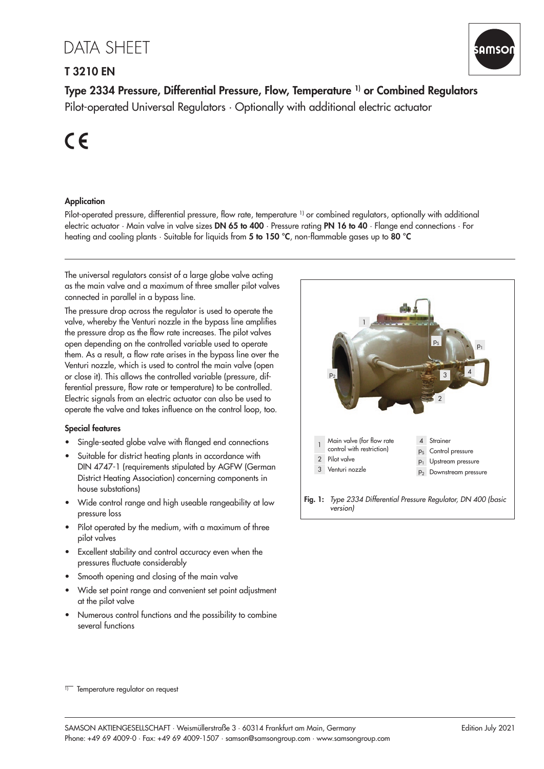# **DATA SHEET**

# T 3210 EN



Type 2334 Pressure, Differential Pressure, Flow, Temperature 1) or Combined Regulators Pilot-operated Universal Regulators · Optionally with additional electric actuator

 $C \in$ 

## **Application**

Pilot-operated pressure, differential pressure, flow rate, temperature <sup>1)</sup> or combined regulators, optionally with additional electric actuator · Main valve in valve sizes DN 65 to 400 · Pressure rating PN 16 to 40 · Flange end connections · For heating and cooling plants  $\cdot$  Suitable for liquids from 5 to 150 °C, non-flammable gases up to 80 °C

The universal regulators consist of a large globe valve acting as the main valve and a maximum of three smaller pilot valves connected in parallel in a bypass line.

The pressure drop across the regulator is used to operate the valve, whereby the Venturi nozzle in the bypass line amplifies the pressure drop as the flow rate increases. The pilot valves open depending on the controlled variable used to operate them. As a result, a flow rate arises in the bypass line over the Venturi nozzle, which is used to control the main valve (open or close it). This allows the controlled variable (pressure, differential pressure, flow rate or temperature) to be controlled. Electric signals from an electric actuator can also be used to operate the valve and takes influence on the control loop, too.

#### Special features

- Single-seated globe valve with flanged end connections
- Suitable for district heating plants in accordance with DIN 4747-1 (requirements stipulated by AGFW (German District Heating Association) concerning components in house substations)
- Wide control range and high useable rangeability at low pressure loss
- Pilot operated by the medium, with a maximum of three pilot valves
- Excellent stability and control accuracy even when the pressures fluctuate considerably
- Smooth opening and closing of the main valve
- Wide set point range and convenient set point adjustment at the pilot valve
- Numerous control functions and the possibility to combine several functions



 $\overline{11}$  Temperature regulator on request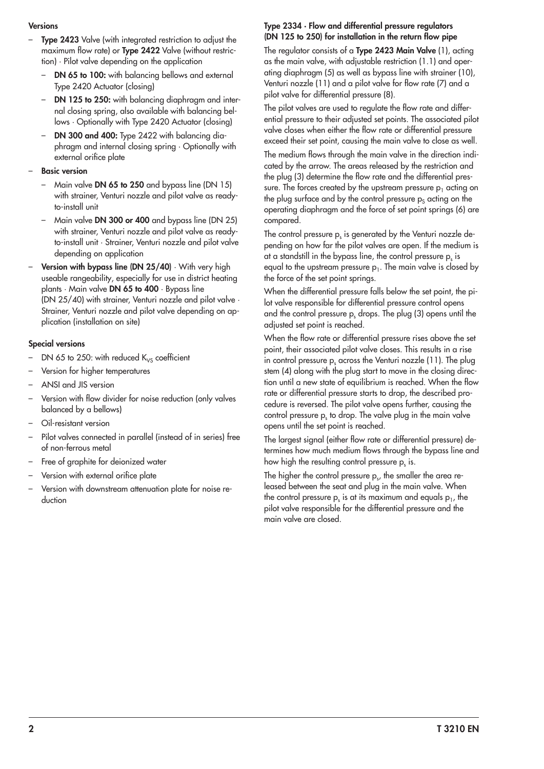#### **Versions**

- Type 2423 Valve (with integrated restriction to adjust the maximum flow rate) or **Type 2422** Valve (without restriction) · Pilot valve depending on the application
	- DN 65 to 100: with balancing bellows and external Type 2420 Actuator (closing)
	- DN 125 to 250: with balancing diaphragm and internal closing spring, also available with balancing bellows · Optionally with Type 2420 Actuator (closing)
	- DN 300 and 400: Type 2422 with balancing diaphragm and internal closing spring · Optionally with external orifice plate

#### **Basic version**

- Main valve DN 65 to 250 and bypass line (DN 15) with strainer. Venturi nozzle and pilot valve as readyto-install unit
- Main valve DN 300 or 400 and bypass line (DN 25) with strainer, Venturi nozzle and pilot valve as readyto-install unit · Strainer, Venturi nozzle and pilot valve depending on application
- Version with bypass line (DN 25/40) · With very high useable rangeability, especially for use in district heating plants · Main valve DN 65 to 400 · Bypass line (DN 25/40) with strainer, Venturi nozzle and pilot valve · Strainer, Venturi nozzle and pilot valve depending on application (installation on site)

#### Special versions

- DN 65 to 250: with reduced  $K_{VS}$  coefficient
- Version for higher temperatures
- ANSI and JIS version
- Version with flow divider for noise reduction (only valves balanced by a bellows)
- Oil-resistant version
- Pilot valves connected in parallel (instead of in series) free of non-ferrous metal
- Free of graphite for deionized water
- Version with external orifice plate
- Version with downstream attenuation plate for noise reduction

#### Type 2334 · Flow and differential pressure regulators (DN 125 to 250) for installation in the return flow pipe

The regulator consists of a Type 2423 Main Valve (1), acting as the main valve, with adjustable restriction (1.1) and operating diaphragm (5) as well as bypass line with strainer (10), Venturi nozzle (11) and a pilot valve for flow rate (7) and a pilot valve for differential pressure (8).

The pilot valves are used to regulate the flow rate and differential pressure to their adjusted set points. The associated pilot valve closes when either the flow rate or differential pressure exceed their set point, causing the main valve to close as well.

The medium flows through the main valve in the direction indicated by the arrow. The areas released by the restriction and the plug (3) determine the flow rate and the differential pressure. The forces created by the upstream pressure  $p_1$  acting on the plug surface and by the control pressure  $p_s$  acting on the operating diaphragm and the force of set point springs (6) are compared.

The control pressure  $\bm{{\mathsf{p}}}_{\text{s}}$  is generated by the Venturi nozzle depending on how far the pilot valves are open. If the medium is at a standstill in the bypass line, the control pressure  $p_s$  is equal to the upstream pressure  $p_1$ . The main valve is closed by the force of the set point springs.

When the differential pressure falls below the set point, the pilot valve responsible for differential pressure control opens and the control pressure  $p_s$  drops. The plug (3) opens until the adjusted set point is reached.

When the flow rate or differential pressure rises above the set point, their associated pilot valve closes. This results in a rise in control pressure  $p_s$  across the Venturi nozzle (11). The plug stem (4) along with the plug start to move in the closing direction until a new state of equilibrium is reached. When the flow rate or differential pressure starts to drop, the described procedure is reversed. The pilot valve opens further, causing the control pressure  $p_s$  to drop. The valve plug in the main valve opens until the set point is reached.

The largest signal (either flow rate or differential pressure) determines how much medium flows through the bypass line and how high the resulting control pressure  $p_{\text{s}}$  is.

The higher the control pressure  $\bm{{\mathsf{p}}}_\text{s}$ , the smaller the area released between the seat and plug in the main valve. When the control pressure  $p_s$  is at its maximum and equals  $p_1$ , the pilot valve responsible for the differential pressure and the main valve are closed.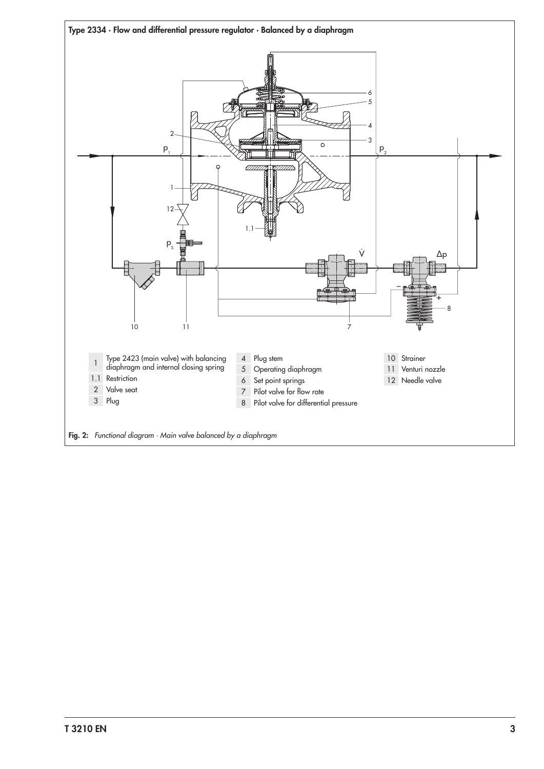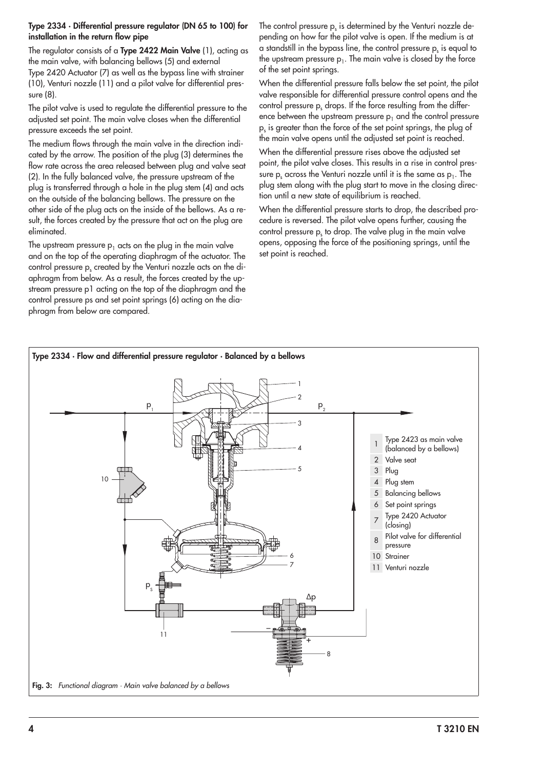#### Type 2334 · Differential pressure regulator (DN 65 to 100) for installation in the return flow pipe

The regulator consists of a **Type 2422 Main Valve** (1), acting as the main valve, with balancing bellows (5) and external Type 2420 Actuator (7) as well as the bypass line with strainer (10), Venturi nozzle (11) and a pilot valve for differential pressure (8).

The pilot valve is used to regulate the differential pressure to the adjusted set point. The main valve closes when the differential pressure exceeds the set point.

The medium flows through the main valve in the direction indicated by the arrow. The position of the plug (3) determines the flow rate across the area released between plug and valve seat (2). In the fully balanced valve, the pressure upstream of the plug is transferred through a hole in the plug stem (4) and acts on the outside of the balancing bellows. The pressure on the other side of the plug acts on the inside of the bellows. As a result, the forces created by the pressure that act on the plug are eliminated.

The upstream pressure  $p_1$  acts on the plug in the main valve and on the top of the operating diaphragm of the actuator. The control pressure  $\bm{{\mathsf{p}}}_{\text{s}}$  created by the Venturi nozzle acts on the diaphragm from below. As a result, the forces created by the upstream pressure p1 acting on the top of the diaphragm and the control pressure ps and set point springs (6) acting on the diaphragm from below are compared.

The control pressure  $\bm{{\mathsf{p}}}_{\text{s}}$  is determined by the Venturi nozzle depending on how far the pilot valve is open. If the medium is at a standstill in the bypass line, the control pressure  ${\sf p}_{\sf s}$  is equal to the upstream pressure  $p_1$ . The main valve is closed by the force of the set point springs.

When the differential pressure falls below the set point, the pilot valve responsible for differential pressure control opens and the control pressure  $p_s$  drops. If the force resulting from the difference between the upstream pressure  $p_1$  and the control pressure  $p_s$  is greater than the force of the set point springs, the plug of the main valve opens until the adjusted set point is reached.

When the differential pressure rises above the adjusted set point, the pilot valve closes. This results in a rise in control pressure  $p_s$  across the Venturi nozzle until it is the same as  $p_1$ . The plug stem along with the plug start to move in the closing direction until a new state of equilibrium is reached.

When the differential pressure starts to drop, the described procedure is reversed. The pilot valve opens further, causing the control pressure  $p_s$  to drop. The valve plug in the main valve opens, opposing the force of the positioning springs, until the set point is reached.

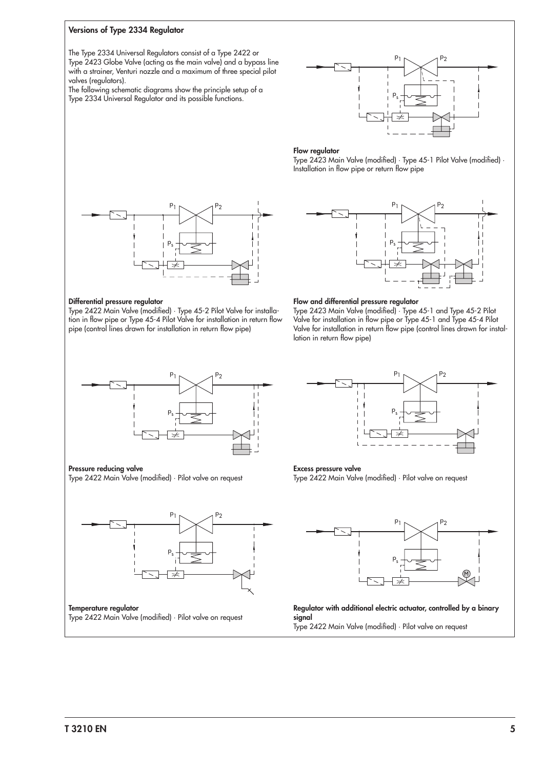#### <span id="page-4-0"></span>Versions of Type 2334 Regulator

The Type 2334 Universal Regulators consist of a Type 2422 or Type 2423 Globe Valve (acting as the main valve) and a bypass line with a strainer, Venturi nozzle and a maximum of three special pilot valves (regulators).

The following schematic diagrams show the principle setup of a Type 2334 Universal Regulator and its possible functions.



#### Flow regulator

Type 2423 Main Valve (modified) · Type 45-1 Pilot Valve (modified) · Installation in flow pipe or return flow pipe



#### Differential pressure regulator

Type 2422 Main Valve (modified) · Type 45-2 Pilot Valve for installation in flow pipe or Type 45-4 Pilot Valve for installation in return flow pipe (control lines drawn for installation in return flow pipe)



#### Flow and differential pressure regulator

Type 2423 Main Valve (modified) · Type 45-1 and Type 45-2 Pilot Valve for installation in flow pipe or Type 45-1 and Type 45-4 Pilot Valve for installation in return flow pipe (control lines drawn for installation in return flow pipe)



Pressure reducing valve

Type 2422 Main Valve (modified) · Pilot valve on request



Type 2422 Main Valve (modified) · Pilot valve on request



#### Excess pressure valve

Type 2422 Main Valve (modified) · Pilot valve on request



Regulator with additional electric actuator, controlled by a binary signal Type 2422 Main Valve (modified) · Pilot valve on request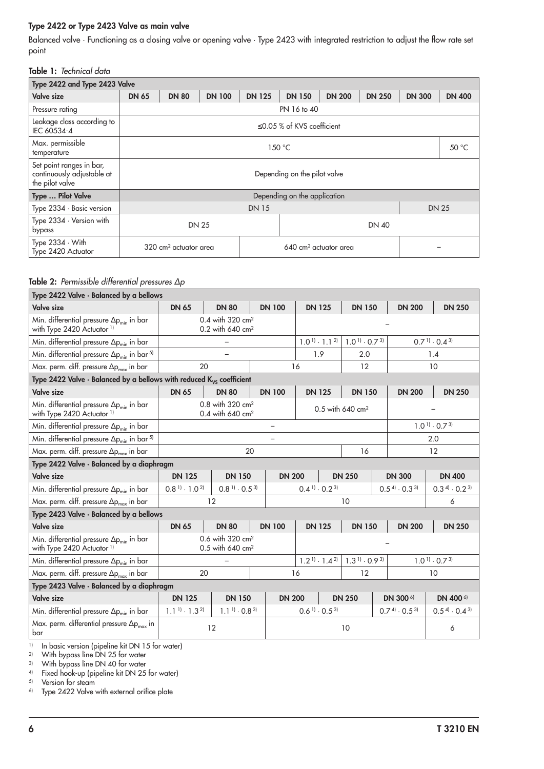#### Type 2422 or Type 2423 Valve as main valve

Balanced valve · Functioning as a closing valve or opening valve · Type 2423 with integrated restriction to adjust the flow rate set point

#### Table 1: Technical data

| Type 2422 and Type 2423 Valve                                             |                              |                                   |               |                                  |               |               |               |               |               |  |
|---------------------------------------------------------------------------|------------------------------|-----------------------------------|---------------|----------------------------------|---------------|---------------|---------------|---------------|---------------|--|
| Valve size                                                                | <b>DN 65</b>                 | <b>DN 80</b>                      | <b>DN 100</b> | <b>DN 125</b>                    | <b>DN 150</b> | <b>DN 200</b> | <b>DN 250</b> | <b>DN 300</b> | <b>DN 400</b> |  |
| Pressure rating                                                           |                              | PN 16 to 40                       |               |                                  |               |               |               |               |               |  |
| Leakage class according to<br>IEC 60534-4                                 |                              | $\leq$ 0.05 % of KVS coefficient  |               |                                  |               |               |               |               |               |  |
| Max. permissible<br>temperature                                           |                              | 50 °C<br>150 °C                   |               |                                  |               |               |               |               |               |  |
| Set point ranges in bar,<br>continuously adjustable at<br>the pilot valve |                              | Depending on the pilot valve      |               |                                  |               |               |               |               |               |  |
| Type  Pilot Valve                                                         |                              | Depending on the application      |               |                                  |               |               |               |               |               |  |
| Type 2334 · Basic version                                                 |                              | <b>DN 15</b><br><b>DN 25</b>      |               |                                  |               |               |               |               |               |  |
| Type 2334 · Version with<br>bypass                                        | <b>DN 25</b><br><b>DN 40</b> |                                   |               |                                  |               |               |               |               |               |  |
| Type 2334 · With<br>Type 2420 Actuator                                    |                              | 320 cm <sup>2</sup> actuator area |               | $640 \text{ cm}^2$ actuator area |               |               |               |               |               |  |

#### Table 2: Permissible differential pressures Δp

| Type 2422 Valve · Balanced by a bellows                                                                                                   |                                              |                                                              |               |               |                                             |               |                                             |               |                         |                                             |
|-------------------------------------------------------------------------------------------------------------------------------------------|----------------------------------------------|--------------------------------------------------------------|---------------|---------------|---------------------------------------------|---------------|---------------------------------------------|---------------|-------------------------|---------------------------------------------|
| <b>Valve size</b>                                                                                                                         | <b>DN 65</b>                                 |                                                              | <b>DN 100</b> | <b>DN 125</b> |                                             | <b>DN 150</b> |                                             | <b>DN 200</b> | <b>DN 250</b>           |                                             |
| Min. differential pressure $\Delta p_{min}$ in bar<br>with Type 2420 Actuator <sup>1)</sup>                                               |                                              | 0.4 with 320 cm <sup>2</sup><br>0.2 with 640 cm <sup>2</sup> |               |               |                                             |               |                                             |               |                         |                                             |
| Min. differential pressure $\Delta p_{min}$ in bar                                                                                        |                                              |                                                              |               |               | $1.0^{11} \cdot 1.1^{21}$                   |               | $1.0^{11} \cdot 0.7^{31}$                   |               |                         | $0.7$ <sup>1</sup> . $0.4$ <sup>3</sup>     |
| Min. differential pressure $\Delta p_{min}$ in bar <sup>5)</sup>                                                                          |                                              |                                                              |               |               | 1.9                                         |               | 2.0                                         |               |                         | 1.4                                         |
| Max. perm. diff. pressure $\Delta p_{max}$ in bar                                                                                         |                                              | 20                                                           |               |               | 16                                          |               | 12                                          |               |                         | 10                                          |
| Type 2422 Valve $\cdot$ Balanced by a bellows with reduced $K_{VS}$ coefficient                                                           |                                              |                                                              |               |               |                                             |               |                                             |               |                         |                                             |
| <b>Valve size</b>                                                                                                                         | <b>DN 65</b>                                 | <b>DN 80</b>                                                 |               | <b>DN 100</b> | <b>DN 125</b>                               |               | <b>DN 150</b>                               |               | <b>DN 200</b>           | <b>DN 250</b>                               |
| Min. differential pressure $\Delta p_{min}$ in bar<br>with Type 2420 Actuator <sup>1)</sup>                                               |                                              | 0.8 with 320 cm <sup>2</sup><br>0.4 with 640 cm <sup>2</sup> |               |               |                                             |               | 0.5 with 640 cm <sup>2</sup>                |               |                         |                                             |
| Min. differential pressure $\Delta p_{min}$ in bar                                                                                        |                                              |                                                              |               |               |                                             |               |                                             |               |                         | $1.0$ <sup>1</sup> $\cdot$ 0.7 <sup>3</sup> |
| Min. differential pressure $\Delta p_{min}$ in bar <sup>5)</sup>                                                                          |                                              | 2.0                                                          |               |               |                                             |               |                                             |               |                         |                                             |
| Max. perm. diff. pressure $\Delta p_{max}$ in bar                                                                                         | 20                                           |                                                              |               |               |                                             | 16            |                                             | 12            |                         |                                             |
| Type 2422 Valve · Balanced by a diaphragm                                                                                                 |                                              |                                                              |               |               |                                             |               |                                             |               |                         |                                             |
| <b>Valve size</b>                                                                                                                         | <b>DN 125</b>                                | <b>DN 150</b>                                                |               | <b>DN 200</b> | <b>DN 250</b>                               |               |                                             |               | <b>DN 300</b>           | <b>DN 400</b>                               |
| Min. differential pressure $\Delta p_{min}$ in bar                                                                                        | $0.8$ <sup>11</sup> $\cdot$ 1.0 <sup>2</sup> | $0.8$ <sup>1</sup> $\cdot$ 0.5 <sup>3</sup>                  |               |               | $0.4$ <sup>1</sup> $\cdot$ 0.2 <sup>3</sup> |               |                                             |               | $0.5^{4} \cdot 0.3^{3}$ | $0.34$ . $0.23$                             |
| Max. perm. diff. pressure $\Delta p_{max}$ in bar                                                                                         |                                              | 12                                                           |               |               |                                             |               | 10                                          |               |                         | 6                                           |
| Type 2423 Valve · Balanced by a bellows                                                                                                   |                                              |                                                              |               |               |                                             |               |                                             |               |                         |                                             |
| <b>Valve size</b>                                                                                                                         | <b>DN 65</b>                                 | <b>DN 80</b>                                                 |               | <b>DN 100</b> | <b>DN 125</b>                               |               | <b>DN 150</b>                               |               | <b>DN 200</b>           | <b>DN 250</b>                               |
| Min. differential pressure $\Delta p_{min}$ in bar<br>with Type 2420 Actuator <sup>1)</sup>                                               |                                              | 0.6 with 320 cm <sup>2</sup><br>0.5 with 640 cm <sup>2</sup> |               |               |                                             |               |                                             |               |                         |                                             |
| Min. differential pressure $\Delta p_{min}$ in bar                                                                                        |                                              |                                                              |               |               | $1.2$ <sup>1</sup> · 1.4 <sup>2</sup>       |               | $1.3$ <sup>1</sup> $\cdot$ 0.9 <sup>3</sup> |               |                         | $1.0$ <sup>1</sup> $\cdot$ 0.7 <sup>3</sup> |
| Max. perm. diff. pressure $\Delta p_{max}$ in bar                                                                                         | 20                                           |                                                              |               |               | 16                                          |               | 12                                          |               |                         | 10                                          |
| Type 2423 Valve $\cdot$ Balanced by a diaphragm                                                                                           |                                              |                                                              |               |               |                                             |               |                                             |               |                         |                                             |
| <b>Valve size</b>                                                                                                                         | <b>DN 125</b>                                | <b>DN 150</b>                                                |               | <b>DN 200</b> |                                             |               | <b>DN 250</b>                               |               | DN 300 <sup>6)</sup>    | DN 400 6)                                   |
| Min. differential pressure $\Delta p_{min}$ in bar                                                                                        | $1.1$ <sup>1</sup> . $1.3$ <sup>2</sup>      | $1.1$ <sup>11</sup> $\cdot$ 0.8 <sup>3</sup>                 |               |               | $0.6$ <sup>1</sup> $\cdot$ 0.5 <sup>3</sup> |               |                                             |               | $0.74 \cdot 0.53$       | $0.5^{4} \cdot 0.4^{3}$                     |
| Max. perm. differential pressure $\Delta p_{max}$ in<br>bar<br>$\frac{1}{2}$ . The location constant finite line lift DNI 1 E from match. |                                              | 12                                                           |               |               |                                             |               | 10                                          |               |                         | 6                                           |

<sup>1)</sup> In basic version (pipeline kit DN 15 for water)

2) With bypass line DN 25 for water

3) With bypass line DN 40 for water

4) Fixed hook-up (pipeline kit DN 25 for water)

5) Version for steam

6) Type 2422 Valve with external orifice plate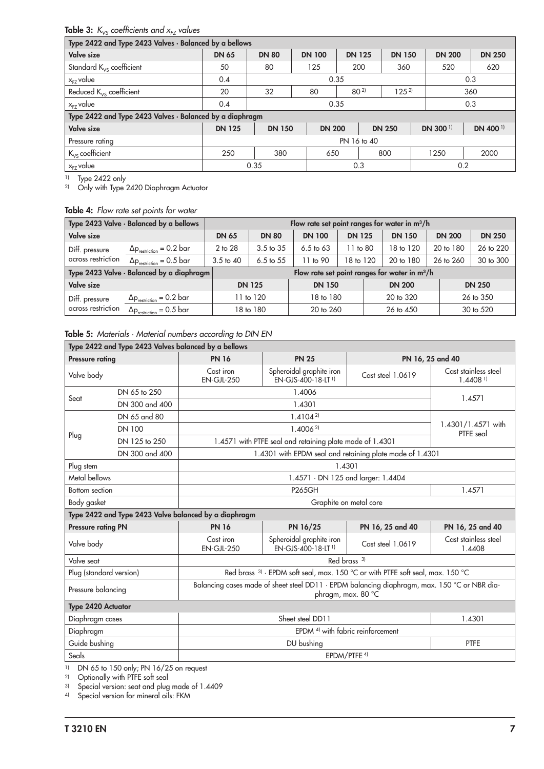# **Table 3:**  $K_{VS}$  coefficients and  $x_{FZ}$  values

| Type 2422 and Type 2423 Valves · Balanced by a bellows   |               |                                                                                  |               |                       |               |  |                     |                     |  |  |
|----------------------------------------------------------|---------------|----------------------------------------------------------------------------------|---------------|-----------------------|---------------|--|---------------------|---------------------|--|--|
| <b>Valve size</b>                                        | <b>DN 65</b>  | <b>DN 125</b><br><b>DN 200</b><br><b>DN 80</b><br><b>DN 100</b><br><b>DN 150</b> |               |                       |               |  |                     | <b>DN 250</b>       |  |  |
| Standard $K_{VS}$ coefficient                            | 50            | 80                                                                               | 125           | 200                   | 360           |  | 520                 | 620                 |  |  |
| x <sub>FZ</sub> value                                    | 0.4           |                                                                                  | 0.35          |                       |               |  |                     | 0.3                 |  |  |
| Reduced $K_{VS}$ coefficient                             | 20            | 32                                                                               | 80            | $80^{2}$<br>$125^{2}$ |               |  | 360                 |                     |  |  |
| 'x <sub>FZ</sub> value                                   | 0.4           | 0.35<br>0.3                                                                      |               |                       |               |  |                     |                     |  |  |
| Type 2422 and Type 2423 Valves · Balanced by a diaphragm |               |                                                                                  |               |                       |               |  |                     |                     |  |  |
| <b>Valve size</b>                                        | <b>DN 125</b> | <b>DN 150</b>                                                                    | <b>DN 200</b> |                       | <b>DN 250</b> |  | DN 300 <sup>1</sup> | DN 400 <sup>1</sup> |  |  |
| Pressure rating                                          | PN 16 to 40   |                                                                                  |               |                       |               |  |                     |                     |  |  |
| $K_{VS}$ coefficient                                     | 250           | 380<br>800<br>1250<br>650                                                        |               |                       |               |  | 2000                |                     |  |  |
| $x_{FZ}$ value                                           |               | 0.35                                                                             |               | 0.3                   |               |  | 0.2                 |                     |  |  |

1) Type 2422 only

2) Only with Type 2420 Diaphragm Actuator

# Table 4: Flow rate set points for water

|                    | Type 2423 Valve · Balanced by a bellows   | Flow rate set point ranges for water in m <sup>3</sup> /h |                                                 |                      |               |               |               |               |  |  |  |
|--------------------|-------------------------------------------|-----------------------------------------------------------|-------------------------------------------------|----------------------|---------------|---------------|---------------|---------------|--|--|--|
| <b>Valve size</b>  |                                           | <b>DN 65</b>                                              | <b>DN 80</b>                                    | <b>DN 100</b>        | <b>DN 125</b> | <b>DN 150</b> | <b>DN 200</b> | <b>DN 250</b> |  |  |  |
| Diff. pressure     | $\Delta p_{\text{restriction}} = 0.2$ bar | 2 to 28                                                   | 3.5 to 35                                       | $6.5 \text{ to } 63$ | 11 to 80      | 18 to 120     | 20 to 180     | 26 to 220     |  |  |  |
| across restriction | $\Delta p_{\text{restriction}} = 0.5$ bar | $3.5$ to $40$                                             | $6.5$ to $55$                                   | 11 to 90             | 18 to 120     | 20 to 180     | 26 to 260     | 30 to 300     |  |  |  |
|                    | Type 2423 Valve · Balanced by a diaphragm |                                                           | Flow rate set point ranges for water in $m^3/h$ |                      |               |               |               |               |  |  |  |
| <b>Valve size</b>  |                                           |                                                           | <b>DN 125</b>                                   | <b>DN 150</b>        |               | <b>DN 200</b> |               | <b>DN 250</b> |  |  |  |
| Diff. pressure     | $\Delta p_{\text{restriction}} = 0.2$ bar |                                                           | 1 to 120                                        | 18 to 180            |               | 20 to 320     |               | 26 to 350     |  |  |  |
| across restriction | $\Delta p_{\text{restriction}} = 0.5$ bar |                                                           | 18 to 180                                       | 20 to 260            |               | 26 to 450     |               | 30 to 520     |  |  |  |

#### Table 5: Materials · Material numbers according to DIN EN

|                           |                                                                                              | Type 2422 and Type 2423 Valves balanced by a bellows  |                                                                                           |                   |                                                |  |
|---------------------------|----------------------------------------------------------------------------------------------|-------------------------------------------------------|-------------------------------------------------------------------------------------------|-------------------|------------------------------------------------|--|
| <b>Pressure rating</b>    |                                                                                              | <b>PN 16</b>                                          | <b>PN 25</b>                                                                              |                   | PN 16, 25 and 40                               |  |
| Valve body                |                                                                                              | Cast iron<br>$EN-GJL-250$                             | Spheroidal graphite iron<br>EN-GJS-400-18-LT <sup>1)</sup>                                | Cast steel 1.0619 | Cast stainless steel<br>$1.4408$ <sup>1)</sup> |  |
| Seat                      | DN 65 to 250                                                                                 |                                                       |                                                                                           |                   |                                                |  |
|                           | DN 300 and 400                                                                               |                                                       | 1.4571                                                                                    |                   |                                                |  |
|                           | DN 65 and 80                                                                                 |                                                       | $1.4104^{2}$                                                                              |                   |                                                |  |
|                           | <b>DN 100</b>                                                                                |                                                       | 1.40062                                                                                   |                   | 1.4301/1.4571 with<br>PTFE seal                |  |
| Plug                      | DN 125 to 250                                                                                |                                                       | 1.4571 with PTFE seal and retaining plate made of 1.4301                                  |                   |                                                |  |
|                           | DN 300 and 400                                                                               |                                                       | 1.4301 with EPDM seal and retaining plate made of 1.4301                                  |                   |                                                |  |
| Plug stem<br>1.4301       |                                                                                              |                                                       |                                                                                           |                   |                                                |  |
| Metal bellows             |                                                                                              | 1.4571 · DN 125 and larger: 1.4404                    |                                                                                           |                   |                                                |  |
| <b>Bottom</b> section     |                                                                                              |                                                       | 1.4571                                                                                    |                   |                                                |  |
| Body gasket               | Graphite on metal core                                                                       |                                                       |                                                                                           |                   |                                                |  |
|                           |                                                                                              | Type 2422 and Type 2423 Valve balanced by a diaphragm |                                                                                           |                   |                                                |  |
| <b>Pressure rating PN</b> |                                                                                              | <b>PN 16</b>                                          | PN 16/25                                                                                  | PN 16, 25 and 40  | PN 16, 25 and 40                               |  |
| Valve body                |                                                                                              | Cast iron<br><b>EN-GJL-250</b>                        | Spheroidal graphite iron<br>FN-GIS-400-18-IT <sup>1)</sup>                                | Cast steel 1.0619 | Cast stainless steel<br>1.4408                 |  |
| Valve seat                |                                                                                              |                                                       | Red brass <sup>3)</sup>                                                                   |                   |                                                |  |
| Plug (standard version)   |                                                                                              |                                                       | Red brass <sup>3)</sup> · EPDM soft seal, max. 150 °C or with PTFE soft seal, max. 150 °C |                   |                                                |  |
| Pressure balancing        | Balancing cases made of sheet steel DD11 · EPDM balancing diaphragm, max. 150 °C or NBR dia- |                                                       |                                                                                           |                   |                                                |  |
| <b>Type 2420 Actuator</b> |                                                                                              |                                                       |                                                                                           |                   |                                                |  |
|                           | Sheet steel DD11<br>Diaphragm cases                                                          |                                                       |                                                                                           |                   |                                                |  |
| Diaphragm                 |                                                                                              |                                                       | EPDM <sup>4)</sup> with fabric reinforcement                                              |                   |                                                |  |
| Guide bushing             |                                                                                              |                                                       | DU bushing                                                                                |                   | <b>PTFE</b>                                    |  |
| Seals                     |                                                                                              |                                                       | EPDM/PTFE <sup>4)</sup>                                                                   |                   |                                                |  |

1) DN 65 to 150 only; PN 16/25 on request

2) Optionally with PTFE soft seal

3) Special version: seat and plug made of 1.4409

4) Special version for mineral oils: FKM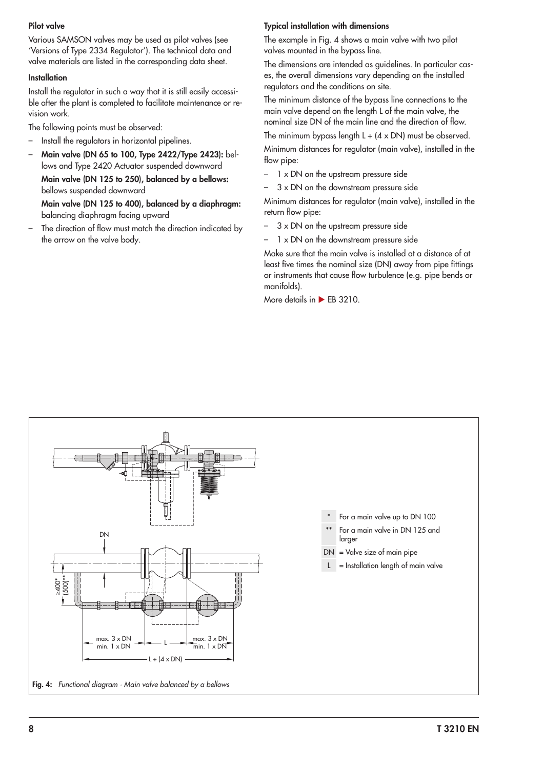#### Pilot valve

Various SAMSON valves may be used as pilot valves (see ['Versions of Type 2334 Regulator'\)](#page-4-0). The technical data and valve materials are listed in the corresponding data sheet.

#### **Installation**

Install the regulator in such a way that it is still easily accessible after the plant is completed to facilitate maintenance or revision work.

The following points must be observed:

- Install the regulators in horizontal pipelines.
- Main valve (DN 65 to 100, Type 2422/Type 2423): bellows and Type 2420 Actuator suspended downward

Main valve (DN 125 to 250), balanced by a bellows: bellows suspended downward

Main valve (DN 125 to 400), balanced by a diaphragm: balancing diaphragm facing upward

The direction of flow must match the direction indicated by the arrow on the valve body.

#### Typical installation with dimensions

The example in [Fig. 4](#page-7-0) shows a main valve with two pilot valves mounted in the bypass line.

The dimensions are intended as guidelines. In particular cases, the overall dimensions vary depending on the installed regulators and the conditions on site.

The minimum distance of the bypass line connections to the main valve depend on the length L of the main valve, the nominal size DN of the main line and the direction of flow.

The minimum bypass length  $L + (4 \times DN)$  must be observed.

Minimum distances for regulator (main valve), installed in the flow pipe:

- 1 x DN on the upstream pressure side
- $3 \times$  DN on the downstream pressure side

Minimum distances for regulator (main valve), installed in the return flow pipe:

- $3 \times$  DN on the upstream pressure side
- 1 x DN on the downstream pressure side

Make sure that the main valve is installed at a distance of at least five times the nominal size (DN) away from pipe fittings or instruments that cause flow turbulence (e.g. pipe bends or manifolds).

More details in  $\blacktriangleright$  [EB 3210.](https://www.samsongroup.com/document/e32100en.pdf)

<span id="page-7-0"></span>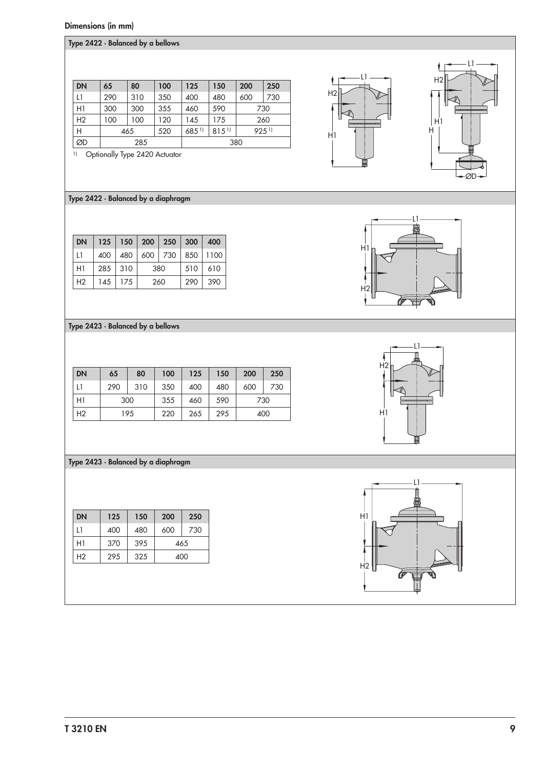## Dimensions (in mm)

| Type 2422 · Balanced by a bellows |  |  |  |  |  |
|-----------------------------------|--|--|--|--|--|
|-----------------------------------|--|--|--|--|--|

| <b>DN</b> | 65  | 80  | 100 | 125                 | 150  | 200  | 250 |  |  |
|-----------|-----|-----|-----|---------------------|------|------|-----|--|--|
| L1        | 290 | 310 | 350 | 400                 | 480  | 600  | 730 |  |  |
| H1        | 300 | 300 | 355 | 460                 | 590  | 730  |     |  |  |
| H2        | 100 | 100 | 120 | 145                 | 175  |      | 260 |  |  |
| Н         |     | 465 | 520 | $685$ <sup>1)</sup> | 8151 | 9251 |     |  |  |
| ØD        |     | 285 |     |                     | 380  |      |     |  |  |

1) Optionally Type 2420 Actuator

# Type 2422 · Balanced by a diaphragm

| <b>DN</b>      |           |     | 125 150 200 250 300 400 |  |     |     |
|----------------|-----------|-----|-------------------------|--|-----|-----|
| 11             | 400       |     | 480 600 730 850 1100    |  |     |     |
| H1             | $285$ 310 |     | 380                     |  | 510 | 610 |
| H <sub>2</sub> | 145       | 175 | 260                     |  | 290 | 390 |

Type 2423 · Balanced by a bellows

| <b>DN</b>      | 65  | 80  | 100 | 125 | 150 | 200 | 250 |
|----------------|-----|-----|-----|-----|-----|-----|-----|
| L1             | 290 | 310 | 350 | 400 | 480 | 600 | 730 |
| H1             |     | 300 | 355 | 460 | 590 | 730 |     |
| H <sub>2</sub> |     | 195 | 220 | 265 | 295 |     | 400 |

## Type 2423 · Balanced by a diaphragm

| <b>DN</b> | 125 | 150 | 200 | 250 |  |
|-----------|-----|-----|-----|-----|--|
| 11        | 400 | 480 | 600 | 730 |  |
| H1        | 370 | 395 | 465 |     |  |
| Н2        | 295 | 325 | 400 |     |  |